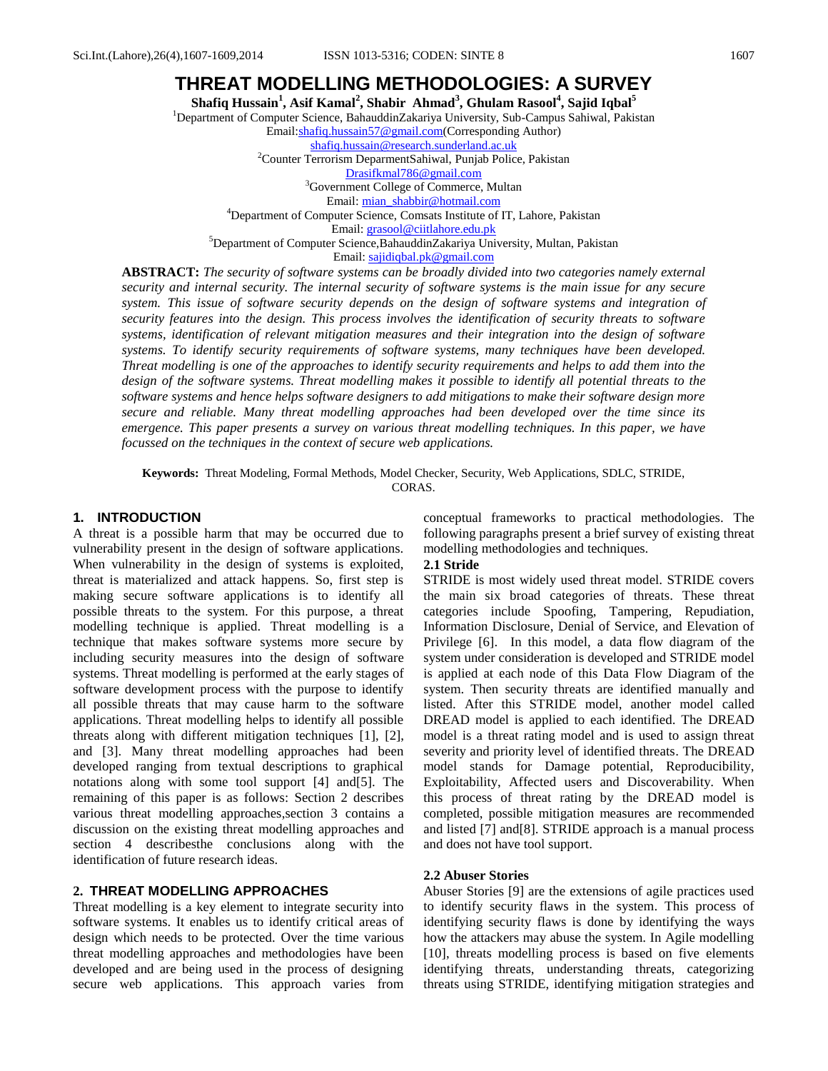# **THREAT MODELLING METHODOLOGIES: A SURVEY**

**Shafiq Hussain<sup>1</sup> , Asif Kamal<sup>2</sup> , Shabir Ahmad<sup>3</sup> , Ghulam Rasool<sup>4</sup> , Sajid Iqbal<sup>5</sup>**

<sup>1</sup>Department of Computer Science, BahauddinZakariya University, Sub-Campus Sahiwal, Pakistan

Email[:shafiq.hussain57@gmail.com\(](mailto:shafiq.hussain57@gmail.com)Corresponding Author)

[shafiq.hussain@research.sunderland.ac.uk](mailto:shafiq.hussain@research.sunderland.ac.uk)

<sup>2</sup>Counter Terrorism DeparmentSahiwal, Punjab Police, Pakistan

[Drasifkmal786@gmail.com](mailto:Drasifkmal786@gmail.com) <sup>3</sup>Government College of Commerce, Multan

Email: [mian\\_shabbir@hotmail.com](mailto:mian_shabbir@hotmail.com)

<sup>4</sup>Department of Computer Science, Comsats Institute of IT, Lahore, Pakistan

Email[: grasool@ciitlahore.edu.pk](mailto:grasool@ciitlahore.edu.pk)

<sup>5</sup>Department of Computer Science,BahauddinZakariya University, Multan, Pakistan

Email[: sajidiqbal.pk@gmail.com](mailto:sajidiqbal.pk@gmail.com)

**ABSTRACT:** *The security of software systems can be broadly divided into two categories namely external security and internal security. The internal security of software systems is the main issue for any secure system. This issue of software security depends on the design of software systems and integration of security features into the design. This process involves the identification of security threats to software systems, identification of relevant mitigation measures and their integration into the design of software systems. To identify security requirements of software systems, many techniques have been developed. Threat modelling is one of the approaches to identify security requirements and helps to add them into the design of the software systems. Threat modelling makes it possible to identify all potential threats to the software systems and hence helps software designers to add mitigations to make their software design more secure and reliable. Many threat modelling approaches had been developed over the time since its emergence. This paper presents a survey on various threat modelling techniques. In this paper, we have focussed on the techniques in the context of secure web applications.* 

**Keywords:** Threat Modeling, Formal Methods, Model Checker, Security, Web Applications, SDLC, STRIDE, CORAS.

#### **1. INTRODUCTION**

A threat is a possible harm that may be occurred due to vulnerability present in the design of software applications. When vulnerability in the design of systems is exploited, threat is materialized and attack happens. So, first step is making secure software applications is to identify all possible threats to the system. For this purpose, a threat modelling technique is applied. Threat modelling is a technique that makes software systems more secure by including security measures into the design of software systems. Threat modelling is performed at the early stages of software development process with the purpose to identify all possible threats that may cause harm to the software applications. Threat modelling helps to identify all possible threats along with different mitigation techniques [1], [2], and [3]. Many threat modelling approaches had been developed ranging from textual descriptions to graphical notations along with some tool support [4] and[5]. The remaining of this paper is as follows: Section 2 describes various threat modelling approaches,section 3 contains a discussion on the existing threat modelling approaches and section 4 describesthe conclusions along with the identification of future research ideas.

# **2. THREAT MODELLING APPROACHES**

Threat modelling is a key element to integrate security into software systems. It enables us to identify critical areas of design which needs to be protected. Over the time various threat modelling approaches and methodologies have been developed and are being used in the process of designing secure web applications. This approach varies from conceptual frameworks to practical methodologies. The following paragraphs present a brief survey of existing threat modelling methodologies and techniques.

### **2.1 Stride**

STRIDE is most widely used threat model. STRIDE covers the main six broad categories of threats. These threat categories include Spoofing, Tampering, Repudiation, Information Disclosure, Denial of Service, and Elevation of Privilege [6]. In this model, a data flow diagram of the system under consideration is developed and STRIDE model is applied at each node of this Data Flow Diagram of the system. Then security threats are identified manually and listed. After this STRIDE model, another model called DREAD model is applied to each identified. The DREAD model is a threat rating model and is used to assign threat severity and priority level of identified threats. The DREAD model stands for Damage potential, Reproducibility, Exploitability, Affected users and Discoverability. When this process of threat rating by the DREAD model is completed, possible mitigation measures are recommended and listed [7] and[8]. STRIDE approach is a manual process and does not have tool support.

#### **2.2 Abuser Stories**

Abuser Stories [9] are the extensions of agile practices used to identify security flaws in the system. This process of identifying security flaws is done by identifying the ways how the attackers may abuse the system. In Agile modelling [10], threats modelling process is based on five elements identifying threats, understanding threats, categorizing threats using STRIDE, identifying mitigation strategies and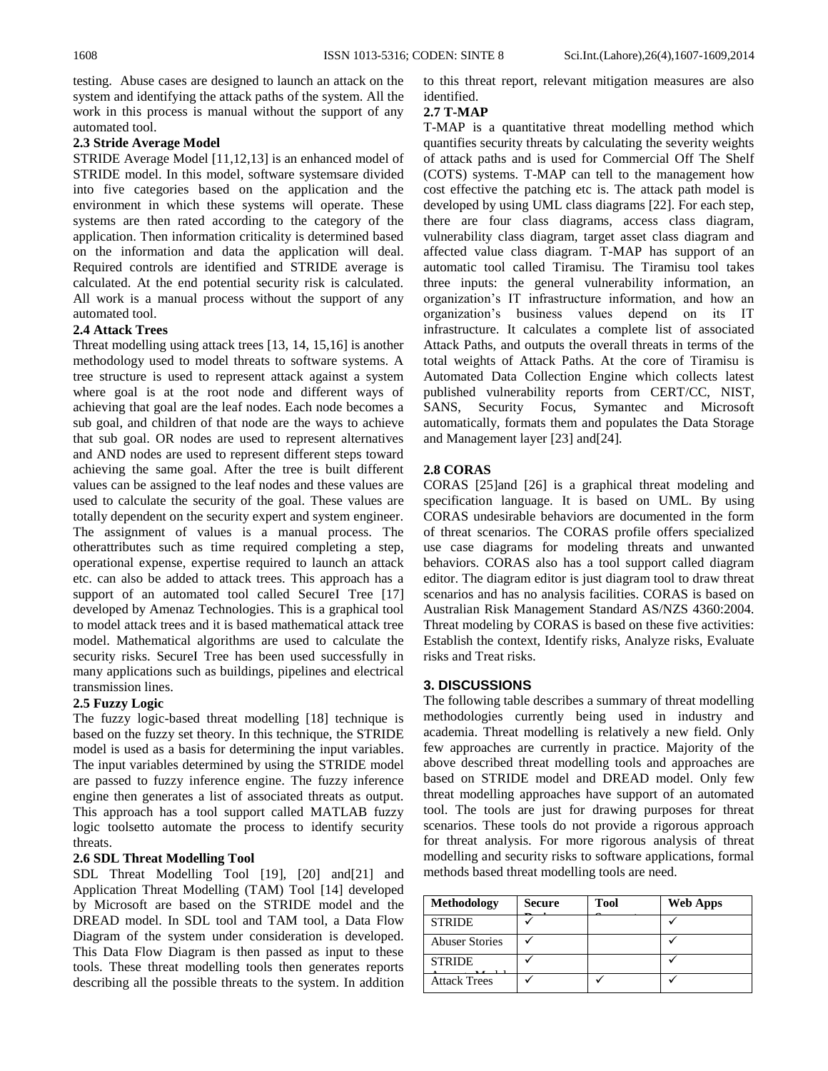testing. Abuse cases are designed to launch an attack on the system and identifying the attack paths of the system. All the work in this process is manual without the support of any automated tool.

#### **2.3 Stride Average Model**

STRIDE Average Model [11,12,13] is an enhanced model of STRIDE model. In this model, software systemsare divided into five categories based on the application and the environment in which these systems will operate. These systems are then rated according to the category of the application. Then information criticality is determined based on the information and data the application will deal. Required controls are identified and STRIDE average is calculated. At the end potential security risk is calculated. All work is a manual process without the support of any automated tool.

### **2.4 Attack Trees**

Threat modelling using attack trees [13, 14, 15,16] is another methodology used to model threats to software systems. A tree structure is used to represent attack against a system where goal is at the root node and different ways of achieving that goal are the leaf nodes. Each node becomes a sub goal, and children of that node are the ways to achieve that sub goal. OR nodes are used to represent alternatives and AND nodes are used to represent different steps toward achieving the same goal. After the tree is built different values can be assigned to the leaf nodes and these values are used to calculate the security of the goal. These values are totally dependent on the security expert and system engineer. The assignment of values is a manual process. The otherattributes such as time required completing a step, operational expense, expertise required to launch an attack etc. can also be added to attack trees. This approach has a support of an automated tool called SecureI Tree [17] developed by Amenaz Technologies. This is a graphical tool to model attack trees and it is based mathematical attack tree model. Mathematical algorithms are used to calculate the security risks. SecureI Tree has been used successfully in many applications such as buildings, pipelines and electrical transmission lines.

# **2.5 Fuzzy Logic**

The fuzzy logic-based threat modelling [18] technique is based on the fuzzy set theory. In this technique, the STRIDE model is used as a basis for determining the input variables. The input variables determined by using the STRIDE model are passed to fuzzy inference engine. The fuzzy inference engine then generates a list of associated threats as output. This approach has a tool support called MATLAB fuzzy logic toolsetto automate the process to identify security threats.

# **2.6 SDL Threat Modelling Tool**

SDL Threat Modelling Tool [19], [20] and[21] and Application Threat Modelling (TAM) Tool [14] developed by Microsoft are based on the STRIDE model and the DREAD model. In SDL tool and TAM tool, a Data Flow Diagram of the system under consideration is developed. This Data Flow Diagram is then passed as input to these tools. These threat modelling tools then generates reports describing all the possible threats to the system. In addition to this threat report, relevant mitigation measures are also identified.

### **2.7 T-MAP**

T-MAP is a quantitative threat modelling method which quantifies security threats by calculating the severity weights of attack paths and is used for Commercial Off The Shelf (COTS) systems. T-MAP can tell to the management how cost effective the patching etc is. The attack path model is developed by using UML class diagrams [22]. For each step, there are four class diagrams, access class diagram, vulnerability class diagram, target asset class diagram and affected value class diagram. T-MAP has support of an automatic tool called Tiramisu. The Tiramisu tool takes three inputs: the general vulnerability information, an organization's IT infrastructure information, and how an organization's business values depend on its IT infrastructure. It calculates a complete list of associated Attack Paths, and outputs the overall threats in terms of the total weights of Attack Paths. At the core of Tiramisu is Automated Data Collection Engine which collects latest published vulnerability reports from CERT/CC, NIST, SANS, Security Focus, Symantec and Microsoft automatically, formats them and populates the Data Storage and Management layer [23] and[24].

# **2.8 CORAS**

CORAS [25]and [26] is a graphical threat modeling and specification language. It is based on UML. By using CORAS undesirable behaviors are documented in the form of threat scenarios. The CORAS profile offers specialized use case diagrams for modeling threats and unwanted behaviors. CORAS also has a tool support called diagram editor. The diagram editor is just diagram tool to draw threat scenarios and has no analysis facilities. CORAS is based on Australian Risk Management Standard AS/NZS 4360:2004. Threat modeling by CORAS is based on these five activities: Establish the context, Identify risks, Analyze risks, Evaluate risks and Treat risks.

# **3. DISCUSSIONS**

The following table describes a summary of threat modelling methodologies currently being used in industry and academia. Threat modelling is relatively a new field. Only few approaches are currently in practice. Majority of the above described threat modelling tools and approaches are based on STRIDE model and DREAD model. Only few threat modelling approaches have support of an automated tool. The tools are just for drawing purposes for threat scenarios. These tools do not provide a rigorous approach for threat analysis. For more rigorous analysis of threat modelling and security risks to software applications, formal methods based threat modelling tools are need.

| <b>Methodology</b>    | <b>Secure</b> | <b>Tool</b> | <b>Web Apps</b> |
|-----------------------|---------------|-------------|-----------------|
| <b>STRIDE</b>         |               |             |                 |
| <b>Abuser Stories</b> |               |             |                 |
| <b>STRIDE</b>         |               |             |                 |
| <b>Attack Trees</b>   |               |             |                 |